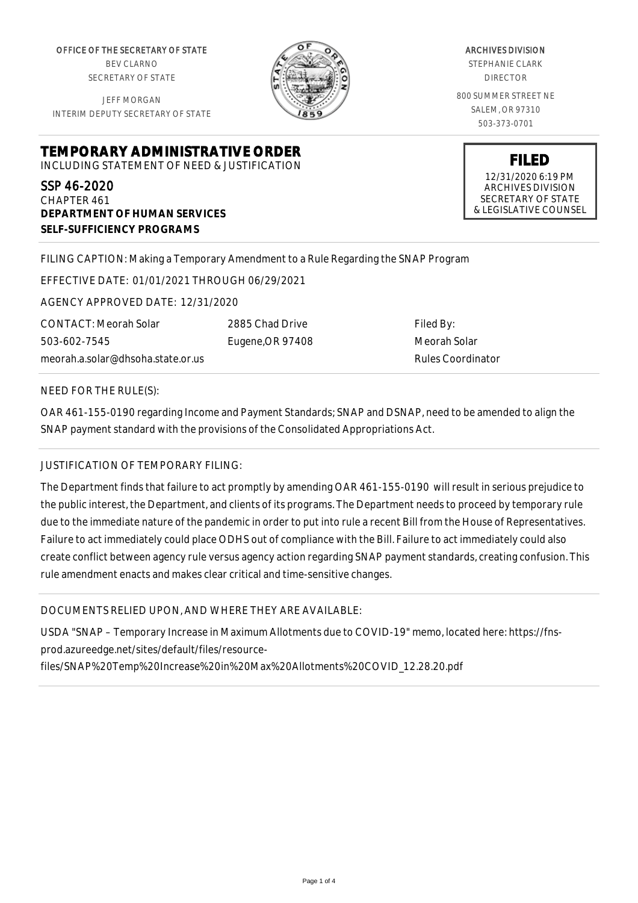OFFICE OF THE SECRETARY OF STATE BEV CLARNO SECRETARY OF STATE

JEFF MORGAN



ARCHIVES DIVISION

STEPHANIE CLARK DIRECTOR

800 SUMMER STREET NE SALEM, OR 97310 503-373-0701

> **FILED** 12/31/2020 6:19 PM ARCHIVES DIVISION SECRETARY OF STATE & LEGISLATIVE COUNSEL

INTERIM DEPUTY SECRETARY OF STATE

**TEMPORARY ADMINISTRATIVE ORDER** INCLUDING STATEMENT OF NEED & JUSTIFICATION

SSP 46-2020 CHAPTER 461 **DEPARTMENT OF HUMAN SERVICES SELF-SUFFICIENCY PROGRAMS**

FILING CAPTION: Making a Temporary Amendment to a Rule Regarding the SNAP Program

EFFECTIVE DATE: 01/01/2021 THROUGH 06/29/2021

AGENCY APPROVED DATE: 12/31/2020

CONTACT: Meorah Solar 503-602-7545 meorah.a.solar@dhsoha.state.or.us 2885 Chad Drive Eugene,OR 97408

Filed By: Meorah Solar Rules Coordinator

NEED FOR THE RULE(S):

OAR 461-155-0190 regarding Income and Payment Standards; SNAP and DSNAP, need to be amended to align the SNAP payment standard with the provisions of the Consolidated Appropriations Act.

## JUSTIFICATION OF TEMPORARY FILING:

The Department finds that failure to act promptly by amending OAR 461-155-0190 will result in serious prejudice to the public interest, the Department, and clients of its programs. The Department needs to proceed by temporary rule due to the immediate nature of the pandemic in order to put into rule a recent Bill from the House of Representatives. Failure to act immediately could place ODHS out of compliance with the Bill. Failure to act immediately could also create conflict between agency rule versus agency action regarding SNAP payment standards, creating confusion. This rule amendment enacts and makes clear critical and time-sensitive changes.

DOCUMENTS RELIED UPON, AND WHERE THEY ARE AVAILABLE:

USDA "SNAP – Temporary Increase in Maximum Allotments due to COVID-19" memo, located here: https://fnsprod.azureedge.net/sites/default/files/resource-

files/SNAP%20Temp%20Increase%20in%20Max%20Allotments%20COVID\_12.28.20.pdf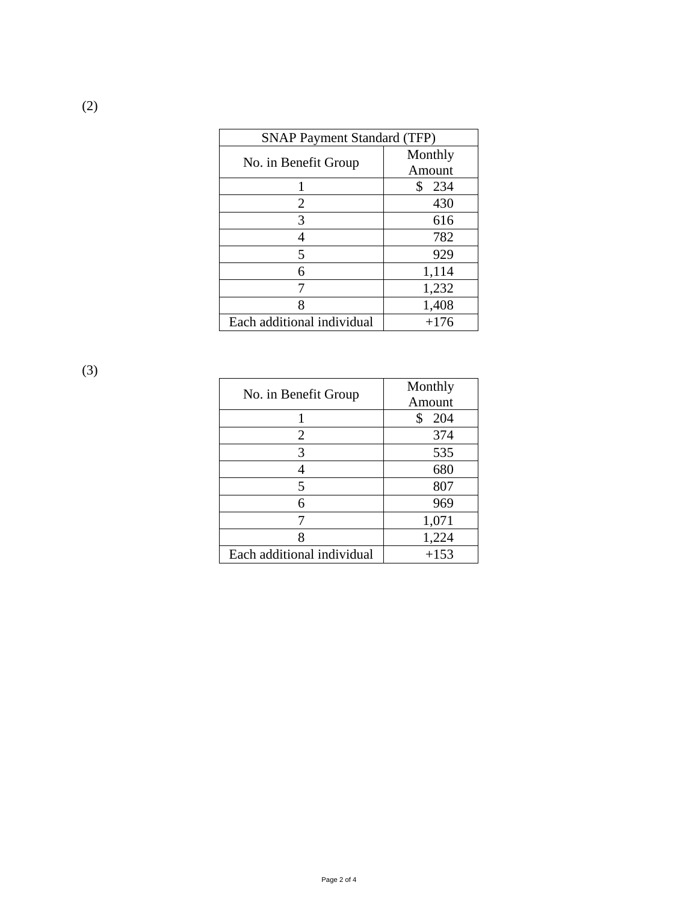| <b>SNAP Payment Standard (TFP)</b> |           |
|------------------------------------|-----------|
| No. in Benefit Group               | Monthly   |
|                                    | Amount    |
|                                    | \$<br>234 |
| 2                                  | 430       |
| 3                                  | 616       |
|                                    | 782       |
| 5                                  | 929       |
| 6                                  | 1,114     |
|                                    | 1,232     |
| 8                                  | 1,408     |
| Each additional individual         | $+176$    |

(3)

| No. in Benefit Group       | Monthly<br>Amount |
|----------------------------|-------------------|
|                            | 204<br>\$         |
| $\overline{2}$             | 374               |
| 3                          | 535               |
|                            | 680               |
| 5                          | 807               |
| 6                          | 969               |
|                            | 1,071             |
| Q                          | 1,224             |
| Each additional individual | $+153$            |

Page 2 of 4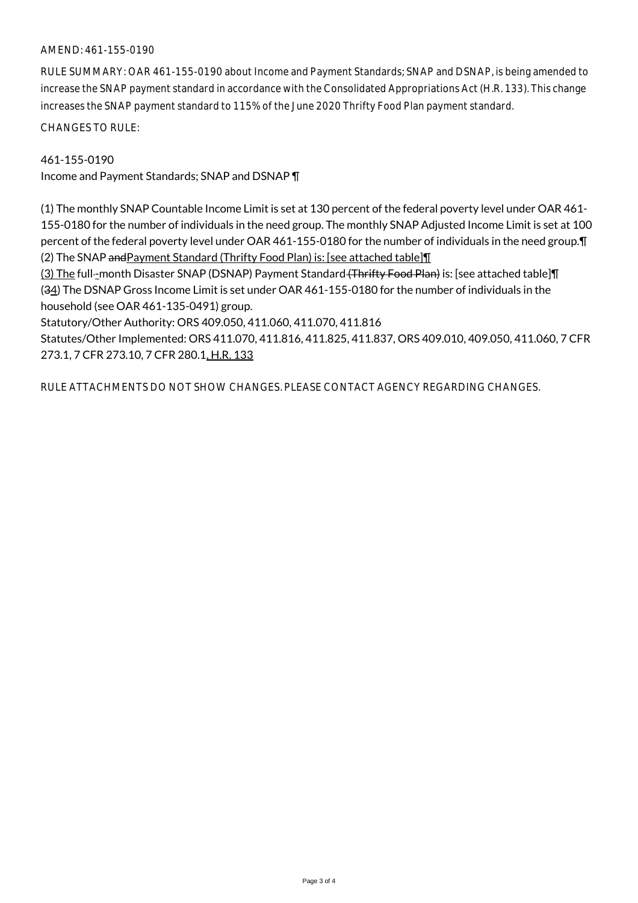## AMEND: 461-155-0190

RULE SUMMARY: OAR 461-155-0190 about Income and Payment Standards; SNAP and DSNAP, is being amended to increase the SNAP payment standard in accordance with the Consolidated Appropriations Act (H.R. 133). This change increases the SNAP payment standard to 115% of the June 2020 Thrifty Food Plan payment standard.

CHANGES TO RULE:

## 461-155-0190

Income and Payment Standards; SNAP and DSNAP ¶

(1) The monthly SNAP Countable Income Limit is set at 130 percent of the federal poverty level under OAR 461- 155-0180 for the number of individuals in the need group. The monthly SNAP Adjusted Income Limit is set at 100 percent of the federal poverty level under OAR 461-155-0180 for the number of individuals in the need group.¶ (2) The SNAP andPayment Standard (Thrifty Food Plan) is: [see attached table]¶

(3) The full--month Disaster SNAP (DSNAP) Payment Standard (Thrifty Food Plan) is: [see attached table] [[ (34) The DSNAP Gross Income Limit is set under OAR 461-155-0180 for the number of individuals in the household (see OAR 461-135-0491) group.

Statutory/Other Authority: ORS 409.050, 411.060, 411.070, 411.816

Statutes/Other Implemented: ORS 411.070, 411.816, 411.825, 411.837, ORS 409.010, 409.050, 411.060, 7 CFR 273.1, 7 CFR 273.10, 7 CFR 280.1, H.R. 133

RULE ATTACHMENTS DO NOT SHOW CHANGES. PLEASE CONTACT AGENCY REGARDING CHANGES.